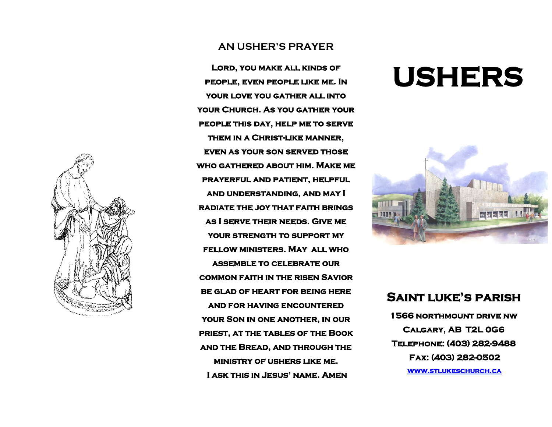

## **AN USHER'S PRAYER**

**Lord, you make all kinds of people, even people like me. In your love you gather all into your Church. As you gather your people this day, help me to serve them in a Christ-like manner, even as your son served those who gathered about him. Make me prayerful and patient, helpful and understanding, and may I radiate the joy that faith brings as I serve their needs. Give me your strength to support my fellow ministers. May all who assemble to celebrate our common faith in the risen Savior be glad of heart for being here and for having encountered your Son in one another, in our priest, at the tables of the Book and the Bread, and through the ministry of ushers like me. I ask this in Jesus' name. Amen** 

## **USHERS**



## **Saint luke's parish**

 **1566 northmount drive nw Calgary, AB T2L 0G6 Telephone: (403) 282-9488 Fax: (403) 282-0502 [www.stlukeschurch.ca](http://www.stlukeschurch.ca/)**